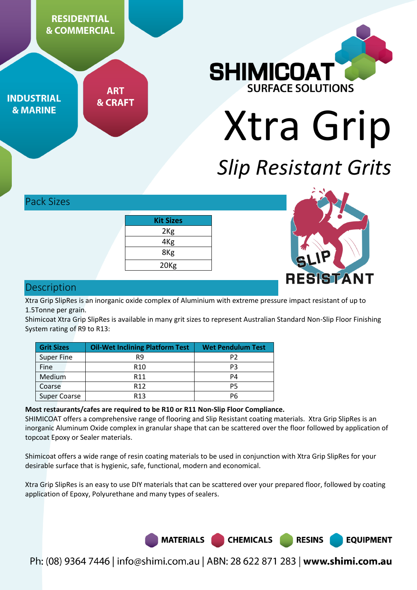**RESIDENTIAL & COMMERCIAL** 

**INDUSTRIAL & MARINE** 

**ART & CRAFT** 



Xtra Grip

# *Slip Resistant Grits*

**RESINS** 

**EQUIPMENT** 

Pack Sizes

| <b>Kit Sizes</b> |  |
|------------------|--|
| 2 <sub>Kg</sub>  |  |
| 4Kg              |  |
| 8Kg              |  |
| 20 <sub>Kg</sub> |  |



# **Description**

Xtra Grip SlipRes is an inorganic oxide complex of Aluminium with extreme pressure impact resistant of up to 1.5Tonne per grain.

Shimicoat Xtra Grip SlipRes is available in many grit sizes to represent Australian Standard Non-Slip Floor Finishing System rating of R9 to R13:

| <b>Grit Sizes</b> | <b>Oil-Wet Inclining Platform Test</b> | <b>Wet Pendulum Test</b> |
|-------------------|----------------------------------------|--------------------------|
| <b>Super Fine</b> | R9                                     | P <sub>2</sub>           |
| Fine              | R <sub>10</sub>                        | P3                       |
| Medium            | R <sub>11</sub>                        | P4                       |
| Coarse            | R <sub>12</sub>                        | P5                       |
| Super Coarse      | R <sub>13</sub>                        | P6                       |

## **Most restaurants/cafes are required to be R10 or R11 Non-Slip Floor Compliance.**

SHIMICOAT offers a comprehensive range of flooring and Slip Resistant coating materials. Xtra Grip SlipRes is an inorganic Aluminum Oxide complex in granular shape that can be scattered over the floor followed by application of topcoat Epoxy or Sealer materials.

Shimicoat offers a wide range of resin coating materials to be used in conjunction with Xtra Grip SlipRes for your desirable surface that is hygienic, safe, functional, modern and economical.

Xtra Grip SlipRes is an easy to use DIY materials that can be scattered over your prepared floor, followed by coating application of Epoxy, Polyurethane and many types of sealers.



Ph: (08) 9364 7446 | info@shimi.com.au | ABN: 28 622 871 283 | www.shimi.com.au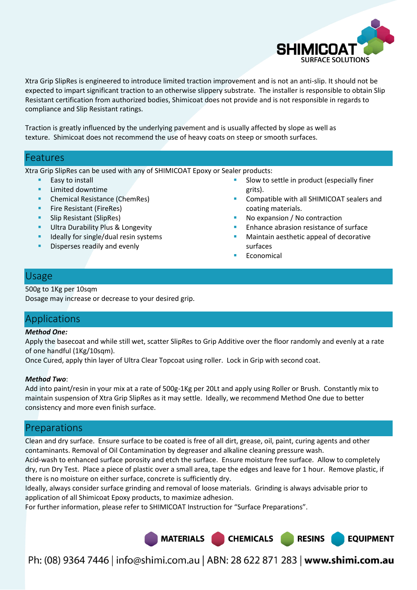

Xtra Grip SlipRes is engineered to introduce limited traction improvement and is not an anti-slip. It should not be expected to impart significant traction to an otherwise slippery substrate. The installer is responsible to obtain Slip Resistant certification from authorized bodies, Shimicoat does not provide and is not responsible in regards to compliance and Slip Resistant ratings.

Traction is greatly influenced by the underlying pavement and is usually affected by slope as well as texture. Shimicoat does not recommend the use of heavy coats on steep or smooth surfaces.

## Features

Xtra Grip SlipRes can be used with any of SHIMICOAT Epoxy or Sealer products:

- Easy to install
- Limited downtime
- Chemical Resistance (ChemRes)
- Fire Resistant (FireRes)
- **Slip Resistant (SlipRes)**
- **Ultra Durability Plus & Longevity**
- Ideally for single/dual resin systems
- Disperses readily and evenly
- Slow to settle in product (especially finer grits).
- Compatible with all SHIMICOAT sealers and coating materials.
- No expansion / No contraction
- Enhance abrasion resistance of surface
- Maintain aesthetic appeal of decorative surfaces
- Economical

# Usage

#### 500g to 1Kg per 10sqm

Dosage may increase or decrease to your desired grip.

# Applications

#### *Method One:*

Apply the basecoat and while still wet, scatter SlipRes to Grip Additive over the floor randomly and evenly at a rate of one handful (1Kg/10sqm).

Once Cured, apply thin layer of Ultra Clear Topcoat using roller. Lock in Grip with second coat.

### *Method Two*:

Add into paint/resin in your mix at a rate of 500g-1Kg per 20Lt and apply using Roller or Brush. Constantly mix to maintain suspension of Xtra Grip SlipRes as it may settle. Ideally, we recommend Method One due to better consistency and more even finish surface.

# Preparations

Clean and dry surface. Ensure surface to be coated is free of all dirt, grease, oil, paint, curing agents and other contaminants. Removal of Oil Contamination by degreaser and alkaline cleaning pressure wash.

Acid-wash to enhanced surface porosity and etch the surface. Ensure moisture free surface. Allow to completely dry, run Dry Test. Place a piece of plastic over a small area, tape the edges and leave for 1 hour. Remove plastic, if there is no moisture on either surface, concrete is sufficiently dry.

Ideally, always consider surface grinding and removal of loose materials. Grinding is always advisable prior to application of all Shimicoat Epoxy products, to maximize adhesion.

For further information, please refer to SHIMICOAT Instruction for "Surface Preparations".



Ph: (08) 9364 7446 | info@shimi.com.au | ABN: 28 622 871 283 | www.shimi.com.au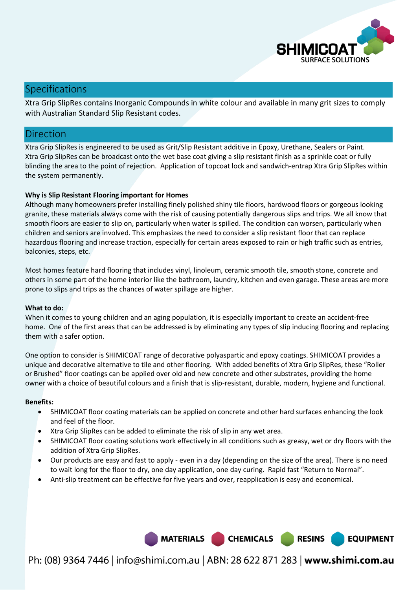

# Specifications

Xtra Grip SlipRes contains Inorganic Compounds in white colour and available in many grit sizes to comply with Australian Standard Slip Resistant codes.

## Direction

Xtra Grip SlipRes is engineered to be used as Grit/Slip Resistant additive in Epoxy, Urethane, Sealers or Paint. Xtra Grip SlipRes can be broadcast onto the wet base coat giving a slip resistant finish as a sprinkle coat or fully blinding the area to the point of rejection. Application of topcoat lock and sandwich-entrap Xtra Grip SlipRes within the system permanently.

#### **Why is Slip Resistant Flooring important for Homes**

Although many homeowners prefer installing finely polished shiny tile floors, hardwood floors or gorgeous looking granite, these materials always come with the risk of causing potentially dangerous slips and trips. We all know that smooth floors are easier to slip on, particularly when water is spilled. The condition can worsen, particularly when children and seniors are involved. This emphasizes the need to consider a slip resistant floor that can replace hazardous flooring and increase traction, especially for certain areas exposed to rain or high traffic such as entries, balconies, steps, etc.

Most homes feature hard flooring that includes vinyl, linoleum, ceramic smooth tile, smooth stone, concrete and others in some part of the home interior like the bathroom, laundry, kitchen and even garage. These areas are more prone to slips and trips as the chances of water spillage are higher.

#### **What to do:**

When it comes to young children and an aging population, it is especially important to create an accident-free home. One of the first areas that can be addressed is by eliminating any types of slip inducing flooring and replacing them with a safer option.

One option to consider is SHIMICOAT range of decorative polyaspartic and epoxy coatings. SHIMICOAT provides a unique and decorative alternative to tile and other flooring. With added benefits of Xtra Grip SlipRes, these "Roller or Brushed" floor coatings can be applied over old and new concrete and other substrates, providing the home owner with a choice of beautiful colours and a finish that is slip-resistant, durable, modern, hygiene and functional.

#### **Benefits:**

- SHIMICOAT floor coating materials can be applied on concrete and other hard surfaces enhancing the look and feel of the floor.
- Xtra Grip SlipRes can be added to eliminate the risk of slip in any wet area.
- SHIMICOAT floor coating solutions work effectively in all conditions such as greasy, wet or dry floors with the addition of Xtra Grip SlipRes.
- Our products are easy and fast to apply even in a day (depending on the size of the area). There is no need to wait long for the floor to dry, one day application, one day curing. Rapid fast "Return to Normal".
- Anti-slip treatment can be effective for five years and over, reapplication is easy and economical.

Ph: (08) 9364 7446 | info@shimi.com.au | ABN: 28 622 871 283 | www.shimi.com.au

MATERIALS CHEMICALS

**RESINS** 

**EQUIPMENT**